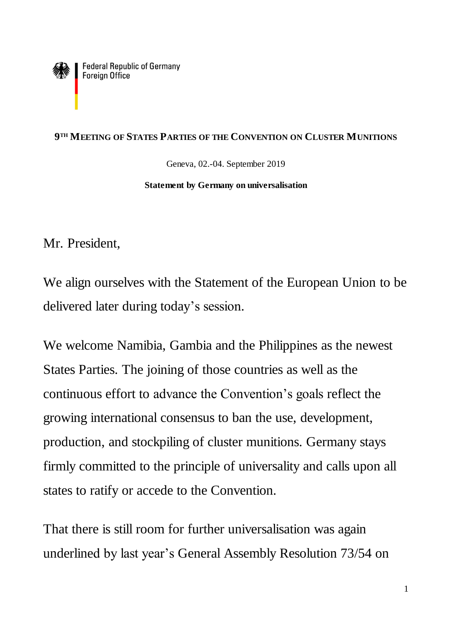**Federal Republic of Germany** Foreign Office

## **9 TH MEETING OF STATES PARTIES OF THE CONVENTION ON CLUSTER MUNITIONS**

Geneva, 02.-04. September 2019

## **Statement by Germany on universalisation**

Mr. President,

We align ourselves with the Statement of the European Union to be delivered later during today's session.

We welcome Namibia, Gambia and the Philippines as the newest States Parties. The joining of those countries as well as the continuous effort to advance the Convention's goals reflect the growing international consensus to ban the use, development, production, and stockpiling of cluster munitions. Germany stays firmly committed to the principle of universality and calls upon all states to ratify or accede to the Convention.

That there is still room for further universalisation was again underlined by last year's General Assembly Resolution 73/54 on